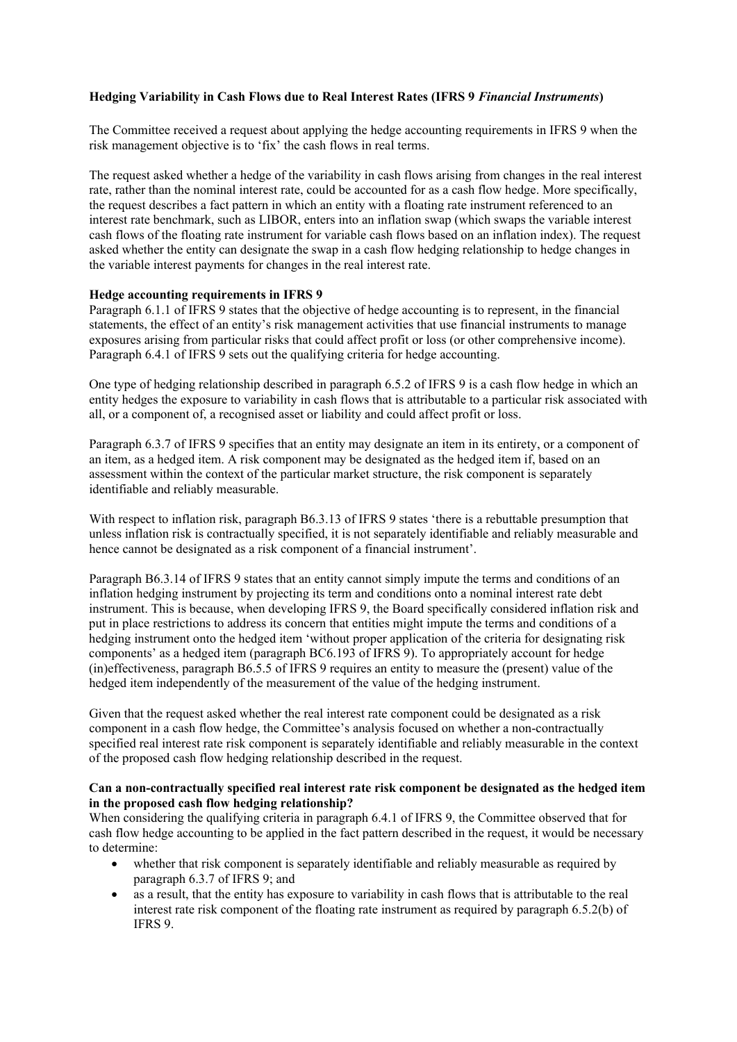## **Hedging Variability in Cash Flows due to Real Interest Rates (IFRS 9** *Financial Instruments***)**

The Committee received a request about applying the hedge accounting requirements in IFRS 9 when the risk management objective is to 'fix' the cash flows in real terms.

The request asked whether a hedge of the variability in cash flows arising from changes in the real interest rate, rather than the nominal interest rate, could be accounted for as a cash flow hedge. More specifically, the request describes a fact pattern in which an entity with a floating rate instrument referenced to an interest rate benchmark, such as LIBOR, enters into an inflation swap (which swaps the variable interest cash flows of the floating rate instrument for variable cash flows based on an inflation index). The request asked whether the entity can designate the swap in a cash flow hedging relationship to hedge changes in the variable interest payments for changes in the real interest rate.

## **Hedge accounting requirements in IFRS 9**

Paragraph 6.1.1 of IFRS 9 states that the objective of hedge accounting is to represent, in the financial statements, the effect of an entity's risk management activities that use financial instruments to manage exposures arising from particular risks that could affect profit or loss (or other comprehensive income). Paragraph 6.4.1 of IFRS 9 sets out the qualifying criteria for hedge accounting.

One type of hedging relationship described in paragraph 6.5.2 of IFRS 9 is a cash flow hedge in which an entity hedges the exposure to variability in cash flows that is attributable to a particular risk associated with all, or a component of, a recognised asset or liability and could affect profit or loss.

Paragraph 6.3.7 of IFRS 9 specifies that an entity may designate an item in its entirety, or a component of an item, as a hedged item. A risk component may be designated as the hedged item if, based on an assessment within the context of the particular market structure, the risk component is separately identifiable and reliably measurable.

With respect to inflation risk, paragraph B6.3.13 of IFRS 9 states 'there is a rebuttable presumption that unless inflation risk is contractually specified, it is not separately identifiable and reliably measurable and hence cannot be designated as a risk component of a financial instrument'.

Paragraph B6.3.14 of IFRS 9 states that an entity cannot simply impute the terms and conditions of an inflation hedging instrument by projecting its term and conditions onto a nominal interest rate debt instrument. This is because, when developing IFRS 9, the Board specifically considered inflation risk and put in place restrictions to address its concern that entities might impute the terms and conditions of a hedging instrument onto the hedged item 'without proper application of the criteria for designating risk components' as a hedged item (paragraph BC6.193 of IFRS 9). To appropriately account for hedge (in)effectiveness, paragraph B6.5.5 of IFRS 9 requires an entity to measure the (present) value of the hedged item independently of the measurement of the value of the hedging instrument.

Given that the request asked whether the real interest rate component could be designated as a risk component in a cash flow hedge, the Committee's analysis focused on whether a non-contractually specified real interest rate risk component is separately identifiable and reliably measurable in the context of the proposed cash flow hedging relationship described in the request.

## **Can a non-contractually specified real interest rate risk component be designated as the hedged item in the proposed cash flow hedging relationship?**

When considering the qualifying criteria in paragraph 6.4.1 of IFRS 9, the Committee observed that for cash flow hedge accounting to be applied in the fact pattern described in the request, it would be necessary to determine:

- whether that risk component is separately identifiable and reliably measurable as required by paragraph 6.3.7 of IFRS 9; and
- as a result, that the entity has exposure to variability in cash flows that is attributable to the real interest rate risk component of the floating rate instrument as required by paragraph 6.5.2(b) of IFRS 9.